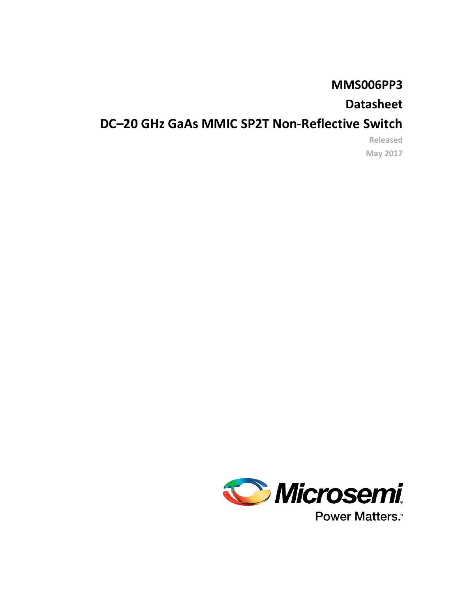# **MMS006PP3**

# **Datasheet**

# **DC–20 GHz GaAs MMIC SP2T Non-Reflective Switch**

**Released May 2017**



**Power Matters.**"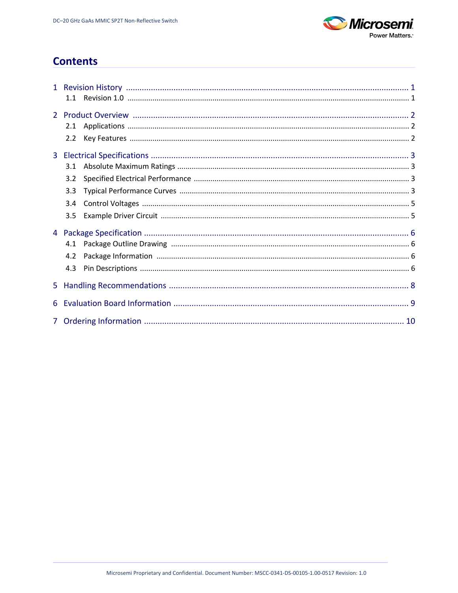

## **Contents**

| 2.1 |  |
|-----|--|
| 2.2 |  |
|     |  |
| 3.1 |  |
| 3.2 |  |
| 3.3 |  |
| 3.4 |  |
| 3.5 |  |
|     |  |
| 4.1 |  |
| 4.2 |  |
| 4.3 |  |
|     |  |
|     |  |
|     |  |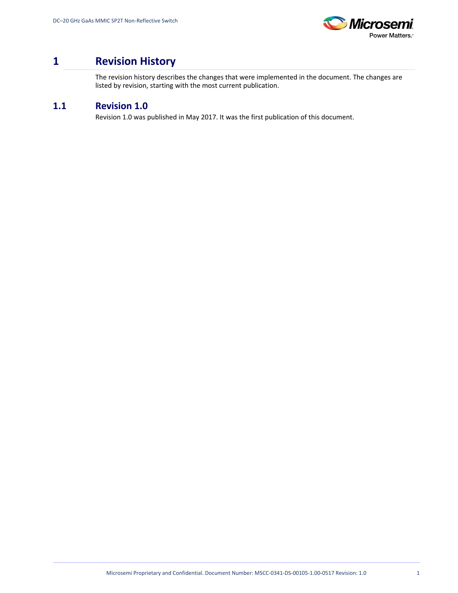

## <span id="page-2-0"></span>**1 Revision History**

The revision history describes the changes that were implemented in the document. The changes are listed by revision, starting with the most current publication.

## <span id="page-2-1"></span>**1.1 Revision 1.0**

Revision 1.0 was published in May 2017. It was the first publication of this document.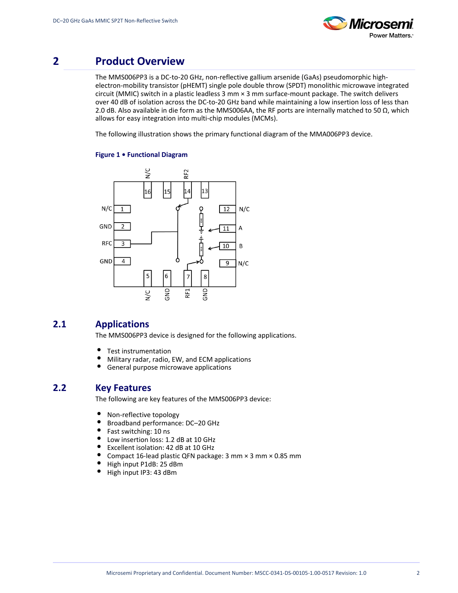

## <span id="page-3-0"></span>**2 Product Overview**

The MMS006PP3 is a DC-to-20 GHz, non-reflective gallium arsenide (GaAs) pseudomorphic highelectron-mobility transistor (pHEMT) single pole double throw (SPDT) monolithic microwave integrated circuit (MMIC) switch in a plastic leadless 3 mm × 3 mm surface-mount package. The switch delivers over 40 dB of isolation across the DC-to-20 GHz band while maintaining a low insertion loss of less than 2.0 dB. Also available in die form as the MMS006AA, the RF ports are internally matched to 50  $\Omega$ , which allows for easy integration into multi-chip modules (MCMs).

The following illustration shows the primary functional diagram of the MMA006PP3 device.

#### **Figure 1 • Functional Diagram**



### <span id="page-3-1"></span>**2.1 Applications**

The MMS006PP3 device is designed for the following applications.

- Test instrumentation
- Military radar, radio, EW, and ECM applications
- $\bullet$ General purpose microwave applications

### <span id="page-3-2"></span>**2.2 Key Features**

The following are key features of the MMS006PP3 device:

- $\bullet$ Non-reflective topology
- $\bullet$ Broadband performance: DC–20 GHz
- $\bullet$ Fast switching: 10 ns
- Low insertion loss: 1.2 dB at 10 GHz  $\bullet$
- $\bullet$ Excellent isolation: 42 dB at 10 GHz
- $\bullet$ Compact 16-lead plastic QFN package: 3 mm × 3 mm × 0.85 mm
- High input P1dB: 25 dBm
- $\bullet$ High input IP3: 43 dBm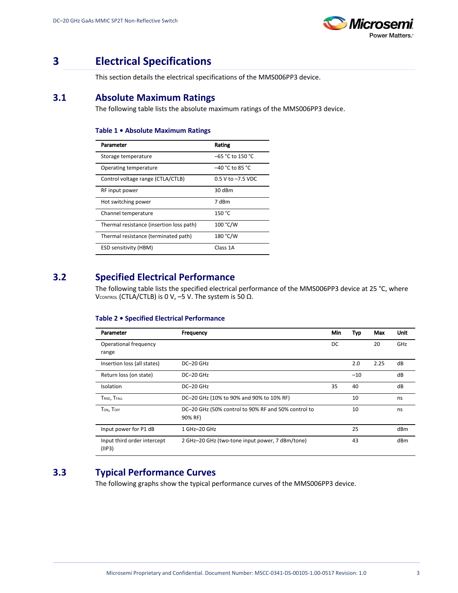

## <span id="page-4-0"></span>**3 Electrical Specifications**

This section details the electrical specifications of the MMS006PP3 device.

### <span id="page-4-1"></span>**3.1 Absolute Maximum Ratings**

The following table lists the absolute maximum ratings of the MMS006PP3 device.

#### **Table 1 • Absolute Maximum Ratings**

| Parameter                                | Rating                |
|------------------------------------------|-----------------------|
| Storage temperature                      | –65 °C to 150 °C      |
| Operating temperature                    | $-40$ °C to 85 °C     |
| Control voltage range (CTLA/CTLB)        | $0.5$ V to $-7.5$ VDC |
| RF input power                           | $30$ dBm              |
| Hot switching power                      | 7 dBm                 |
| Channel temperature                      | 150 °C                |
| Thermal resistance (insertion loss path) | 100 °C/W              |
| Thermal resistance (terminated path)     | 180 °C/W              |
| <b>ESD sensitivity (HBM)</b>             | Class 1A              |

## <span id="page-4-2"></span>**3.2 Specified Electrical Performance**

The following table lists the specified electrical performance of the MMS006PP3 device at 25 °C, where VCONTROL (CTLA/CTLB) is 0 V, -5 V. The system is 50 Ω.

#### **Table 2 • Specified Electrical Performance**

| Parameter                              | Frequency                                           | Min | Typ   | Max  | Unit |
|----------------------------------------|-----------------------------------------------------|-----|-------|------|------|
| Operational frequency                  |                                                     | DC  |       | 20   | GHz  |
| range                                  |                                                     |     |       |      |      |
| Insertion loss (all states)            | DC-20 GHz                                           |     | 2.0   | 2.25 | dB   |
| Return loss (on state)                 | $DC-20$ GHz                                         |     | $-10$ |      | dB   |
| Isolation                              | DC-20 GHz                                           | 35  | 40    |      | dB   |
| TRISE, TFALL                           | DC-20 GHz (10% to 90% and 90% to 10% RF)            |     | 10    |      | ns   |
| TON, TOFF                              | DC-20 GHz (50% control to 90% RF and 50% control to |     | 10    |      | ns   |
|                                        | 90% RF)                                             |     |       |      |      |
| Input power for P1 dB                  | 1 GHz-20 GHz                                        |     | 25    |      | dBm  |
| Input third order intercept<br>(IIIP3) | 2 GHz-20 GHz (two-tone input power, 7 dBm/tone)     |     | 43    |      | dBm  |

## <span id="page-4-3"></span>**3.3 Typical Performance Curves**

The following graphs show the typical performance curves of the MMS006PP3 device.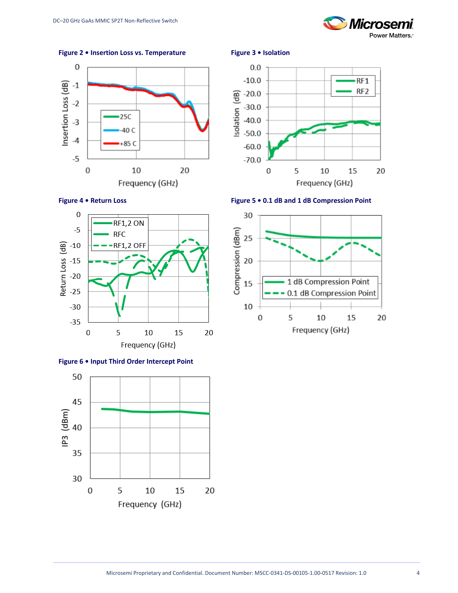

**Figure 2 • Insertion Loss vs. Temperature Figure 3 • Isolation**













**Figure 6 • Input Third Order Intercept Point**

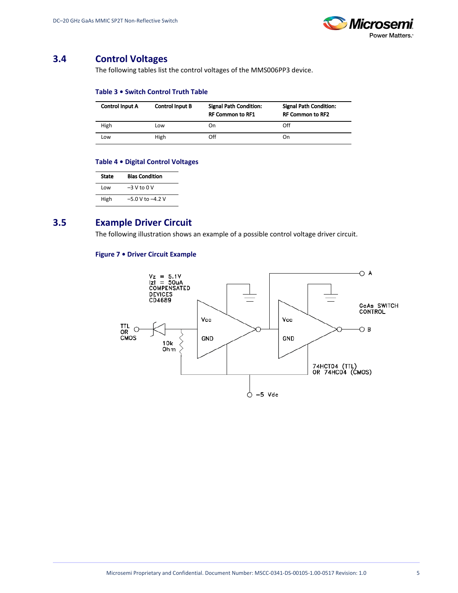

### <span id="page-6-2"></span><span id="page-6-0"></span>**3.4 Control Voltages**

The following tables list the control voltages of the MMS006PP3 device.

#### **Table 3 • Switch Control Truth Table**

| <b>Control Input A</b> | <b>Control Input B</b> | <b>Signal Path Condition:</b><br><b>RF Common to RF1</b> | <b>Signal Path Condition:</b><br><b>RF Common to RF2</b> |
|------------------------|------------------------|----------------------------------------------------------|----------------------------------------------------------|
| High                   | Low                    | On                                                       | Off                                                      |
| Low                    | High                   | Off                                                      | On                                                       |

#### **Table 4 • Digital Control Voltages**

| State | <b>Bias Condition</b> |
|-------|-----------------------|
| Low   | $-3V$ to $0V$         |
| High  | $-5.0$ V to $-4.2$ V  |

### <span id="page-6-3"></span><span id="page-6-1"></span>**3.5 Example Driver Circuit**

The following illustration shows an example of a possible control voltage driver circuit.

#### **Figure 7 • Driver Circuit Example**

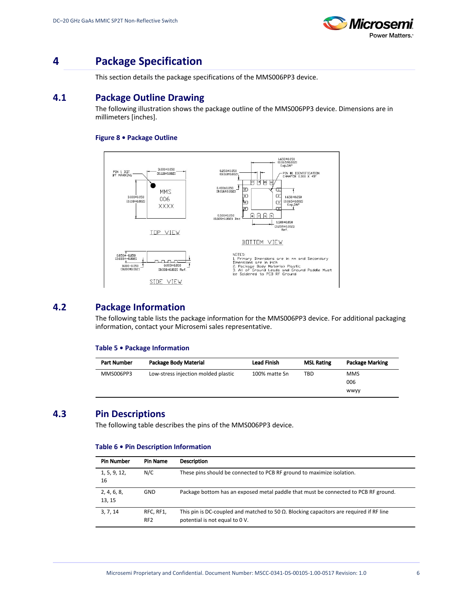

## <span id="page-7-0"></span>**4 Package Specification**

This section details the package specifications of the MMS006PP3 device.

### <span id="page-7-1"></span>**4.1 Package Outline Drawing**

The following illustration shows the package outline of the MMS006PP3 device. Dimensions are in millimeters [inches].

#### **Figure 8 • Package Outline**



### <span id="page-7-2"></span>**4.2 Package Information**

The following table lists the package information for the MMS006PP3 device. For additional packaging information, contact your Microsemi sales representative.

#### **Table 5 • Package Information**

| <b>Part Number</b> | Package Body Material               | <b>Lead Finish</b> | <b>MSL Rating</b> | <b>Package Marking</b> |
|--------------------|-------------------------------------|--------------------|-------------------|------------------------|
| MMS006PP3          | Low-stress injection molded plastic | 100% matte Sn      | TBD               | <b>MMS</b>             |
|                    |                                     |                    |                   | 006                    |
|                    |                                     |                    |                   | <b>WWVV</b>            |

### <span id="page-7-3"></span>**4.3 Pin Descriptions**

The following table describes the pins of the MMS006PP3 device.

#### **Table 6 • Pin Description Information**

| <b>Pin Number</b>     | Pin Name                     | <b>Description</b>                                                                                                                |
|-----------------------|------------------------------|-----------------------------------------------------------------------------------------------------------------------------------|
| 1, 5, 9, 12,<br>16    | N/C                          | These pins should be connected to PCB RF ground to maximize isolation.                                                            |
| 2, 4, 6, 8,<br>13, 15 | <b>GND</b>                   | Package bottom has an exposed metal paddle that must be connected to PCB RF ground.                                               |
| 3, 7, 14              | RFC, RF1,<br>RF <sub>2</sub> | This pin is DC-coupled and matched to 50 $\Omega$ . Blocking capacitors are required if RF line<br>potential is not equal to 0 V. |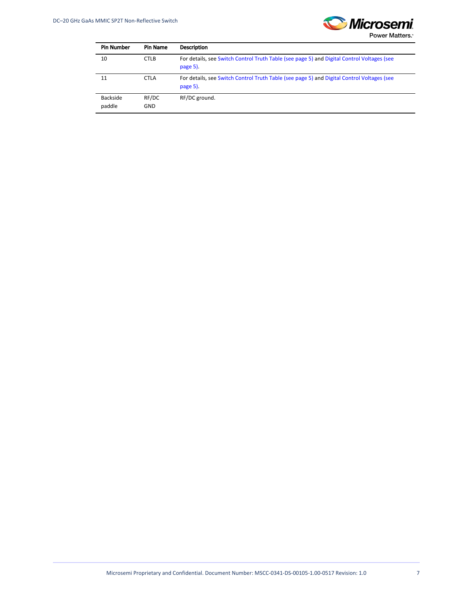

| <b>Pin Number</b>  | <b>Pin Name</b>     | <b>Description</b>                                                                                     |
|--------------------|---------------------|--------------------------------------------------------------------------------------------------------|
| 10                 | <b>CTLB</b>         | For details, see Switch Control Truth Table (see page 5) and Digital Control Voltages (see<br>page 5). |
| 11                 | <b>CTLA</b>         | For details, see Switch Control Truth Table (see page 5) and Digital Control Voltages (see<br>page 5). |
| Backside<br>paddle | RF/DC<br><b>GND</b> | RF/DC ground.                                                                                          |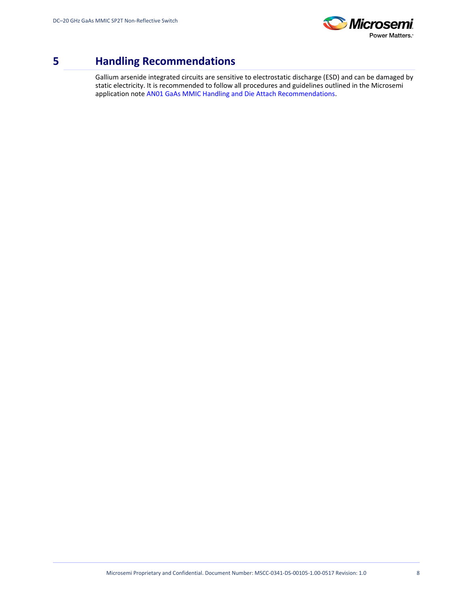

## <span id="page-9-0"></span>**5 Handling Recommendations**

Gallium arsenide integrated circuits are sensitive to electrostatic discharge (ESD) and can be damaged by static electricity. It is recommended to follow all procedures and guidelines outlined in the Microsemi application note [AN01 GaAs MMIC Handling and Die Attach Recommendations](http://www.microsemi.com/document-portal/doc_view/133886-mm-app-0001-die-handling-application-note).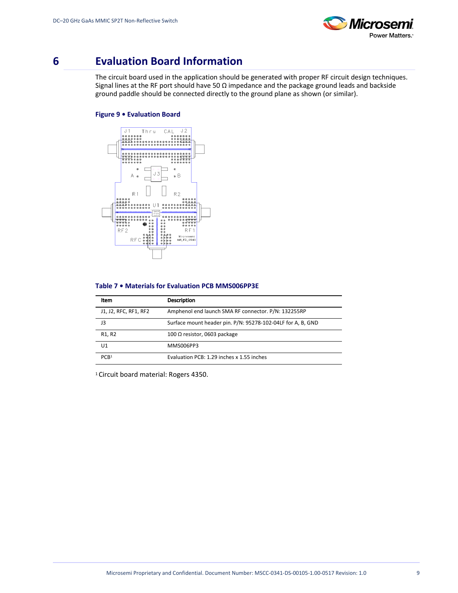

## <span id="page-10-0"></span>**6 Evaluation Board Information**

The circuit board used in the application should be generated with proper RF circuit design techniques. Signal lines at the RF port should have 50 Ω impedance and the package ground leads and backside ground paddle should be connected directly to the ground plane as shown (or similar).

#### **Figure 9 • Evaluation Board**



#### **Table 7 • Materials for Evaluation PCB MMS006PP3E**

| Item                            | <b>Description</b>                                          |
|---------------------------------|-------------------------------------------------------------|
| J1, J2, RFC, RF1, RF2           | Amphenol end launch SMA RF connector. P/N: 132255RP         |
| 13                              | Surface mount header pin. P/N: 95278-102-04LF for A, B, GND |
| R <sub>1</sub> , R <sub>2</sub> | 100 $\Omega$ resistor, 0603 package                         |
| U1                              | MMS006PP3                                                   |
| PCB <sup>1</sup>                | Evaluation PCB: 1.29 inches x 1.55 inches                   |

1 Circuit board material: Rogers 4350.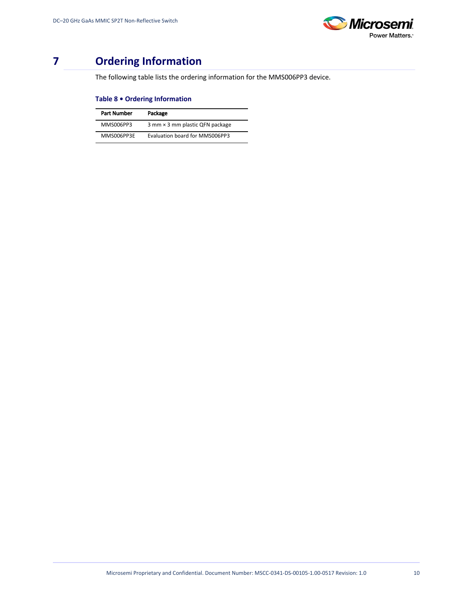

# <span id="page-11-0"></span>**7 Ordering Information**

The following table lists the ordering information for the MMS006PP3 device.

#### **Table 8 • Ordering Information**

| Part Number | Package                         |
|-------------|---------------------------------|
| MMS006PP3   | 3 mm × 3 mm plastic QFN package |
| MMS006PP3E  | Evaluation board for MMS006PP3  |